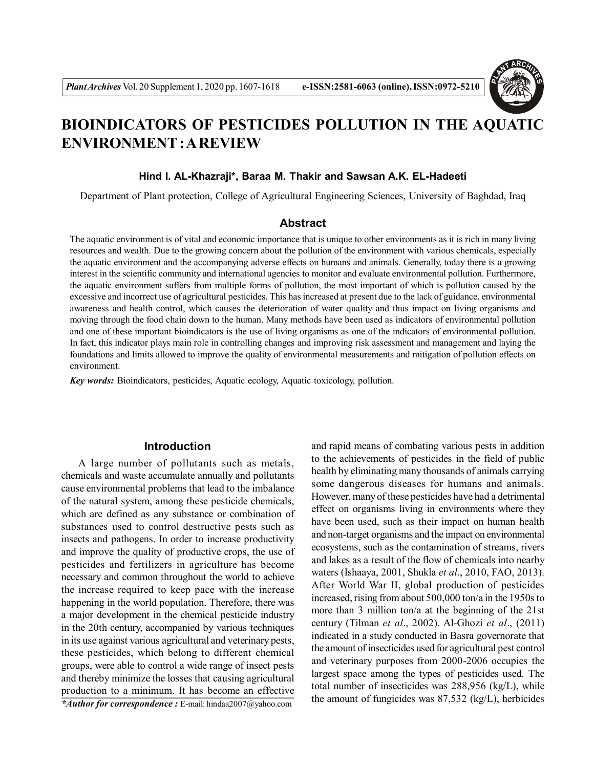

# **BIOINDICATORS OF PESTICIDES POLLUTION IN THE AQUATIC ENVIRONMENT : A REVIEW**

## **Hind I. AL-Khazraji\*, Baraa M. Thakir and Sawsan A.K. EL-Hadeeti**

Department of Plant protection, College of Agricultural Engineering Sciences, University of Baghdad, Iraq

# **Abstract**

The aquatic environment is of vital and economic importance that is unique to other environments as it is rich in many living resources and wealth. Due to the growing concern about the pollution of the environment with various chemicals, especially the aquatic environment and the accompanying adverse effects on humans and animals. Generally, today there is a growing interest in the scientific community and international agencies to monitor and evaluate environmental pollution. Furthermore, the aquatic environment suffers from multiple forms of pollution, the most important of which is pollution caused by the excessive and incorrect use of agricultural pesticides. This has increased at present due to the lack of guidance, environmental awareness and health control, which causes the deterioration of water quality and thus impact on living organisms and moving through the food chain down to the human. Many methods have been used as indicators of environmental pollution and one of these important bioindicators is the use of living organisms as one of the indicators of environmental pollution. In fact, this indicator plays main role in controlling changes and improving risk assessment and management and laying the foundations and limits allowed to improve the quality of environmental measurements and mitigation of pollution effects on environment.

*Key words:* Bioindicators, pesticides, Aquatic ecology, Aquatic toxicology, pollution.

# **Introduction**

A large number of pollutants such as metals, chemicals and waste accumulate annually and pollutants cause environmental problems that lead to the imbalance of the natural system, among these pesticide chemicals, which are defined as any substance or combination of substances used to control destructive pests such as insects and pathogens. In order to increase productivity and improve the quality of productive crops, the use of pesticides and fertilizers in agriculture has become necessary and common throughout the world to achieve the increase required to keep pace with the increase happening in the world population. Therefore, there was a major development in the chemical pesticide industry in the 20th century, accompanied by various techniques in its use against various agricultural and veterinary pests, these pesticides, which belong to different chemical groups, were able to control a wide range of insect pests and thereby minimize the losses that causing agricultural production to a minimum. It has become an effective *\*Author for correspondence :* E-mail: hindaa2007@yahoo.com

and rapid means of combating various pests in addition to the achievements of pesticides in the field of public health by eliminating many thousands of animals carrying some dangerous diseases for humans and animals. However, many of these pesticides have had a detrimental effect on organisms living in environments where they have been used, such as their impact on human health and non-target organisms and the impact on environmental ecosystems, such as the contamination of streams, rivers and lakes as a result of the flow of chemicals into nearby waters (Ishaaya, 2001, Shukla *et al*., 2010, FAO, 2013). After World War II, global production of pesticides increased, rising from about 500,000 ton/a in the 1950s to more than 3 million ton/a at the beginning of the 21st century (Tilman *et al*., 2002). Al-Ghozi *et al*., (2011) indicated in a study conducted in Basra governorate that the amount of insecticides used for agricultural pest control and veterinary purposes from 2000-2006 occupies the largest space among the types of pesticides used. The total number of insecticides was 288,956 (kg/L), while the amount of fungicides was 87,532 (kg/L), herbicides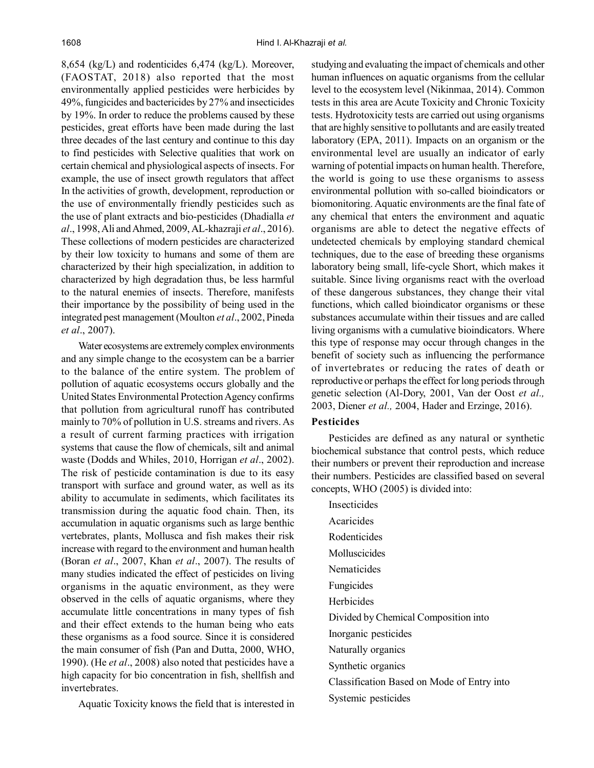8,654 (kg/L) and rodenticides 6,474 (kg/L). Moreover, (FAOSTAT, 2018) also reported that the most environmentally applied pesticides were herbicides by 49%, fungicides and bactericides by 27% and insecticides by 19%. In order to reduce the problems caused by these pesticides, great efforts have been made during the last three decades of the last century and continue to this day to find pesticides with Selective qualities that work on certain chemical and physiological aspects of insects. For example, the use of insect growth regulators that affect In the activities of growth, development, reproduction or the use of environmentally friendly pesticides such as the use of plant extracts and bio-pesticides (Dhadialla *et al*., 1998, Ali and Ahmed, 2009, AL-khazraji *et al*., 2016). These collections of modern pesticides are characterized by their low toxicity to humans and some of them are characterized by their high specialization, in addition to characterized by high degradation thus, be less harmful to the natural enemies of insects. Therefore, manifests their importance by the possibility of being used in the integrated pest management (Moulton *et al*., 2002, Pineda *et al*., 2007).

Water ecosystems are extremely complex environments and any simple change to the ecosystem can be a barrier to the balance of the entire system. The problem of pollution of aquatic ecosystems occurs globally and the United States Environmental Protection Agency confirms that pollution from agricultural runoff has contributed mainly to 70% of pollution in U.S. streams and rivers. As a result of current farming practices with irrigation systems that cause the flow of chemicals, silt and animal waste (Dodds and Whiles, 2010, Horrigan *et al*., 2002). The risk of pesticide contamination is due to its easy transport with surface and ground water, as well as its ability to accumulate in sediments, which facilitates its transmission during the aquatic food chain. Then, its accumulation in aquatic organisms such as large benthic vertebrates, plants, Mollusca and fish makes their risk increase with regard to the environment and human health (Boran *et al*., 2007, Khan *et al*., 2007). The results of many studies indicated the effect of pesticides on living organisms in the aquatic environment, as they were observed in the cells of aquatic organisms, where they accumulate little concentrations in many types of fish and their effect extends to the human being who eats these organisms as a food source. Since it is considered the main consumer of fish (Pan and Dutta, 2000, WHO, 1990). (He *et al*., 2008) also noted that pesticides have a high capacity for bio concentration in fish, shellfish and invertebrates.

Aquatic Toxicity knows the field that is interested in

studying and evaluating the impact of chemicals and other human influences on aquatic organisms from the cellular level to the ecosystem level (Nikinmaa, 2014). Common tests in this area are Acute Toxicity and Chronic Toxicity tests. Hydrotoxicity tests are carried out using organisms that are highly sensitive to pollutants and are easily treated laboratory (EPA, 2011). Impacts on an organism or the environmental level are usually an indicator of early warning of potential impacts on human health. Therefore, the world is going to use these organisms to assess environmental pollution with so-called bioindicators or biomonitoring. Aquatic environments are the final fate of any chemical that enters the environment and aquatic organisms are able to detect the negative effects of undetected chemicals by employing standard chemical techniques, due to the ease of breeding these organisms laboratory being small, life-cycle Short, which makes it suitable. Since living organisms react with the overload of these dangerous substances, they change their vital functions, which called bioindicator organisms or these substances accumulate within their tissues and are called living organisms with a cumulative bioindicators. Where this type of response may occur through changes in the benefit of society such as influencing the performance of invertebrates or reducing the rates of death or reproductive or perhaps the effect for long periods through genetic selection (Al-Dory, 2001, Van der Oost *et al.,* 2003, Diener *et al.,* 2004, Hader and Erzinge, 2016).

# **Pesticides**

Pesticides are defined as any natural or synthetic biochemical substance that control pests, which reduce their numbers or prevent their reproduction and increase their numbers. Pesticides are classified based on several concepts, WHO (2005) is divided into:

Insecticides Acaricides Rodenticides Molluscicides Nematicides Fungicides Herbicides Divided by Chemical Composition into Inorganic pesticides Naturally organics Synthetic organics Classification Based on Mode of Entry into Systemic pesticides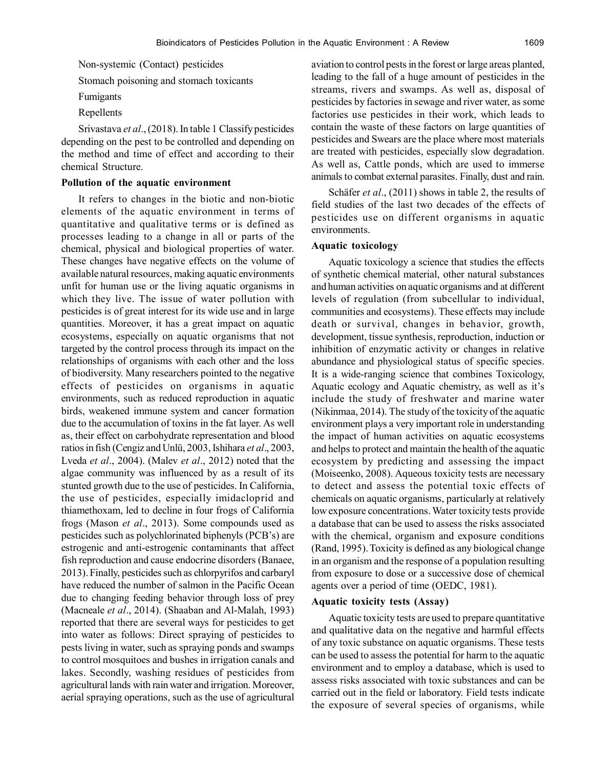Non-systemic (Contact) pesticides

Stomach poisoning and stomach toxicants

- Fumigants
- Repellents

Srivastava *et al*., (2018). In table 1 Classify pesticides depending on the pest to be controlled and depending on the method and time of effect and according to their chemical Structure.

#### **Pollution of the aquatic environment**

It refers to changes in the biotic and non-biotic elements of the aquatic environment in terms of quantitative and qualitative terms or is defined as processes leading to a change in all or parts of the chemical, physical and biological properties of water. These changes have negative effects on the volume of available natural resources, making aquatic environments unfit for human use or the living aquatic organisms in which they live. The issue of water pollution with pesticides is of great interest for its wide use and in large quantities. Moreover, it has a great impact on aquatic ecosystems, especially on aquatic organisms that not targeted by the control process through its impact on the relationships of organisms with each other and the loss of biodiversity. Many researchers pointed to the negative effects of pesticides on organisms in aquatic environments, such as reduced reproduction in aquatic birds, weakened immune system and cancer formation due to the accumulation of toxins in the fat layer. As well as, their effect on carbohydrate representation and blood ratios in fish (Cengiz and Unlü, 2003, Ishihara *et al*., 2003, Lveda *et al*., 2004). (Malev *et al*., 2012) noted that the algae community was influenced by as a result of its stunted growth due to the use of pesticides. In California, the use of pesticides, especially imidacloprid and thiamethoxam, led to decline in four frogs of California frogs (Mason *et al*., 2013). Some compounds used as pesticides such as polychlorinated biphenyls (PCB's) are estrogenic and anti-estrogenic contaminants that affect fish reproduction and cause endocrine disorders (Banaee, 2013). Finally, pesticides such as chlorpyrifos and carbaryl have reduced the number of salmon in the Pacific Ocean due to changing feeding behavior through loss of prey (Macneale *et al*., 2014). (Shaaban and Al-Malah, 1993) reported that there are several ways for pesticides to get into water as follows: Direct spraying of pesticides to pests living in water, such as spraying ponds and swamps to control mosquitoes and bushes in irrigation canals and lakes. Secondly, washing residues of pesticides from agricultural lands with rain water and irrigation. Moreover, aerial spraying operations, such as the use of agricultural

aviation to control pests in the forest or large areas planted, leading to the fall of a huge amount of pesticides in the streams, rivers and swamps. As well as, disposal of pesticides by factories in sewage and river water, as some factories use pesticides in their work, which leads to contain the waste of these factors on large quantities of pesticides and Swears are the place where most materials are treated with pesticides, especially slow degradation. As well as, Cattle ponds, which are used to immerse animals to combat external parasites. Finally, dust and rain.

Schäfer *et al*., (2011) shows in table 2, the results of field studies of the last two decades of the effects of pesticides use on different organisms in aquatic environments.

#### **Aquatic toxicology**

Aquatic toxicology a science that studies the effects of synthetic chemical material, other natural substances and human activities on aquatic organisms and at different levels of regulation (from subcellular to individual, communities and ecosystems). These effects may include death or survival, changes in behavior, growth, development, tissue synthesis, reproduction, induction or inhibition of enzymatic activity or changes in relative abundance and physiological status of specific species. It is a wide-ranging science that combines Toxicology, Aquatic ecology and Aquatic chemistry, as well as it's include the study of freshwater and marine water (Nikinmaa, 2014). The study of the toxicity of the aquatic environment plays a very important role in understanding the impact of human activities on aquatic ecosystems and helps to protect and maintain the health of the aquatic ecosystem by predicting and assessing the impact (Moiseenko, 2008). Aqueous toxicity tests are necessary to detect and assess the potential toxic effects of chemicals on aquatic organisms, particularly at relatively low exposure concentrations. Water toxicity tests provide a database that can be used to assess the risks associated with the chemical, organism and exposure conditions (Rand, 1995). Toxicity is defined as any biological change in an organism and the response of a population resulting from exposure to dose or a successive dose of chemical agents over a period of time (OEDC, 1981).

## **Aquatic toxicity tests (Assay)**

Aquatic toxicity tests are used to prepare quantitative and qualitative data on the negative and harmful effects of any toxic substance on aquatic organisms. These tests can be used to assess the potential for harm to the aquatic environment and to employ a database, which is used to assess risks associated with toxic substances and can be carried out in the field or laboratory. Field tests indicate the exposure of several species of organisms, while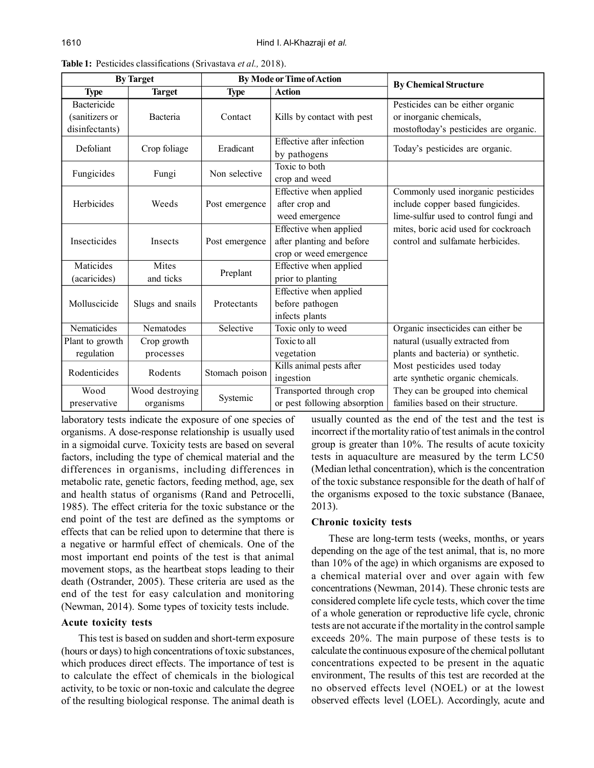| <b>By Target</b>                                       |                              | <b>By Mode or Time of Action</b> |                                                                               | <b>By Chemical Structure</b>                                                                                    |  |
|--------------------------------------------------------|------------------------------|----------------------------------|-------------------------------------------------------------------------------|-----------------------------------------------------------------------------------------------------------------|--|
| <b>Type</b>                                            | <b>Target</b>                | <b>Type</b>                      | <b>Action</b>                                                                 |                                                                                                                 |  |
| <b>Bactericide</b><br>(sanitizers or<br>disinfectants) | Bacteria                     | Contact                          | Kills by contact with pest                                                    | Pesticides can be either organic<br>or inorganic chemicals,<br>mostoftoday's pesticides are organic.            |  |
| Defoliant                                              | Crop foliage                 | Eradicant                        | Effective after infection<br>by pathogens                                     | Today's pesticides are organic.                                                                                 |  |
| Fungicides                                             | Fungi                        | Non selective                    | Toxic to both<br>crop and weed                                                |                                                                                                                 |  |
| Herbicides                                             | Weeds                        | Post emergence                   | Effective when applied<br>after crop and<br>weed emergence                    | Commonly used inorganic pesticides<br>include copper based fungicides.<br>lime-sulfur used to control fungi and |  |
| <b>Insecticides</b>                                    | Insects                      | Post emergence                   | Effective when applied<br>after planting and before<br>crop or weed emergence | mites, boric acid used for cockroach<br>control and sulfamate herbicides.                                       |  |
| Maticides<br>(acaricides)                              | Mites<br>and ticks           | Preplant                         | Effective when applied<br>prior to planting                                   |                                                                                                                 |  |
| Molluscicide                                           | Slugs and snails             | Protectants                      | Effective when applied<br>before pathogen<br>infects plants                   |                                                                                                                 |  |
| Nematicides                                            | Nematodes                    | Selective                        | Toxic only to weed                                                            | Organic insecticides can either be                                                                              |  |
| Plant to growth<br>regulation                          | Crop growth<br>processes     |                                  | Toxic to all<br>vegetation                                                    | natural (usually extracted from<br>plants and bacteria) or synthetic.                                           |  |
| Rodenticides                                           | Rodents                      | Stomach poison                   | Kills animal pests after<br>ingestion                                         | Most pesticides used today<br>arte synthetic organic chemicals.                                                 |  |
| Wood<br>preservative                                   | Wood destroying<br>organisms | Systemic                         | Transported through crop<br>or pest following absorption                      | They can be grouped into chemical<br>families based on their structure.                                         |  |

**Table 1:** Pesticides classifications (Srivastava *et al.,* 2018).

laboratory tests indicate the exposure of one species of organisms. A dose-response relationship is usually used in a sigmoidal curve. Toxicity tests are based on several factors, including the type of chemical material and the differences in organisms, including differences in metabolic rate, genetic factors, feeding method, age, sex and health status of organisms (Rand and Petrocelli, 1985). The effect criteria for the toxic substance or the end point of the test are defined as the symptoms or effects that can be relied upon to determine that there is a negative or harmful effect of chemicals. One of the most important end points of the test is that animal movement stops, as the heartbeat stops leading to their death (Ostrander, 2005). These criteria are used as the end of the test for easy calculation and monitoring (Newman, 2014). Some types of toxicity tests include.

## **Acute toxicity tests**

This test is based on sudden and short-term exposure (hours or days) to high concentrations of toxic substances, which produces direct effects. The importance of test is to calculate the effect of chemicals in the biological activity, to be toxic or non-toxic and calculate the degree of the resulting biological response. The animal death is

usually counted as the end of the test and the test is incorrect if the mortality ratio of test animals in the control group is greater than 10%. The results of acute toxicity tests in aquaculture are measured by the term LC50 (Median lethal concentration), which is the concentration of the toxic substance responsible for the death of half of the organisms exposed to the toxic substance (Banaee, 2013).

# **Chronic toxicity tests**

These are long-term tests (weeks, months, or years depending on the age of the test animal, that is, no more than 10% of the age) in which organisms are exposed to a chemical material over and over again with few concentrations (Newman, 2014). These chronic tests are considered complete life cycle tests, which cover the time of a whole generation or reproductive life cycle, chronic tests are not accurate if the mortality in the control sample exceeds 20%. The main purpose of these tests is to calculate the continuous exposure of the chemical pollutant concentrations expected to be present in the aquatic environment, The results of this test are recorded at the no observed effects level (NOEL) or at the lowest observed effects level (LOEL). Accordingly, acute and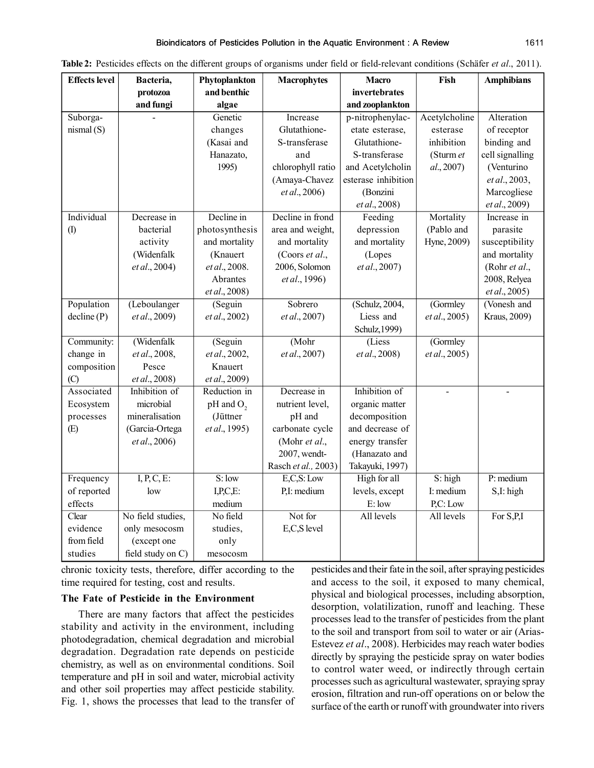| <b>Effects</b> level | Bacteria,         | Phytoplankton  | <b>Macrophytes</b>  | <b>Macro</b>        | Fish          | <b>Amphibians</b>        |
|----------------------|-------------------|----------------|---------------------|---------------------|---------------|--------------------------|
|                      | protozoa          | and benthic    |                     | invertebrates       |               |                          |
|                      | and fungi         | algae          |                     | and zooplankton     |               |                          |
| Suborga-             |                   | Genetic        | Increase            | p-nitrophenylac-    | Acetylcholine | Alteration               |
| nismal(S)            |                   | changes        | Glutathione-        | etate esterase,     | esterase      | of receptor              |
|                      |                   | (Kasai and     | S-transferase       | Glutathione-        | inhibition    | binding and              |
|                      |                   | Hanazato,      | and                 | S-transferase       | (Sturm et     | cell signalling          |
|                      |                   | 1995)          | chlorophyll ratio   | and Acetylcholin    | al., 2007)    | (Venturino               |
|                      |                   |                | (Amaya-Chavez       | esterase inhibition |               | et al., 2003,            |
|                      |                   |                | et al., 2006)       | (Bonzini            |               | Marcogliese              |
|                      |                   |                |                     | et al., 2008)       |               | et al., 2009)            |
| Individual           | Decrease in       | Decline in     | Decline in frond    | Feeding             | Mortality     | Increase in              |
| (1)                  | bacterial         | photosynthesis | area and weight,    | depression          | (Pablo and    | parasite                 |
|                      | activity          | and mortality  | and mortality       | and mortality       | Hyne, 2009)   | susceptibility           |
|                      | (Widenfalk        | (Knauert       | (Coors et al.,      | (Lopes              |               | and mortality            |
|                      | et al., 2004)     | et al., 2008.  | 2006, Solomon       | et al., 2007)       |               | (Rohr et al.,            |
|                      |                   | Abrantes       | et al., 1996)       |                     |               | 2008, Relyea             |
|                      |                   | et al., 2008)  |                     |                     |               | et al., 2005)            |
| Population           | (Leboulanger      | (Seguin        | Sobrero             | (Schulz, 2004,      | (Gormley      | (Vonesh and              |
| decline(P)           | et al., 2009)     | et al., 2002)  | et al., 2007)       | Liess and           | et al., 2005) | Kraus, 2009)             |
|                      |                   |                |                     | Schulz, 1999)       |               |                          |
| Community:           | (Widenfalk        | (Seguin        | (Mohr)              | (Liess              | (Gormley      |                          |
| change in            | et al., 2008,     | et al., 2002,  | et al., 2007)       | et al., 2008)       | et al., 2005) |                          |
| composition          | Pesce             | Knauert        |                     |                     |               |                          |
| (C)                  | et al., 2008)     | et al., 2009)  |                     |                     |               |                          |
| Associated           | Inhibition of     | Reduction in   | Decrease in         | Inhibition of       |               | $\overline{\phantom{a}}$ |
| Ecosystem            | microbial         | $pH$ and $O2$  | nutrient level,     | organic matter      |               |                          |
| processes            | mineralisation    | (Jüttner       | pH and              | decomposition       |               |                          |
| (E)                  | (Garcia-Ortega    | et al., 1995)  | carbonate cycle     | and decrease of     |               |                          |
|                      | et al., 2006)     |                | (Mohr et al.,       | energy transfer     |               |                          |
|                      |                   |                | 2007, wendt-        | (Hanazato and       |               |                          |
|                      |                   |                | Rasch et al., 2003) | Takayuki, 1997)     |               |                          |
| Frequency            | $I, P, C, E$ :    | S:low          | E.C.S: Low          | High for all        | $S:$ high     | $P$ : medium             |
| of reported          | low               | I.P.C.E:       | P.I: medium         | levels, except      | I: medium     | S,I: high                |
| effects              |                   | medium         |                     | E: low              | P.C: Low      |                          |
| Clear                | No field studies, | No field       | Not for             | All levels          | All levels    | For S,P,I                |
| evidence             | only mesocosm     | studies,       | E,C,S level         |                     |               |                          |
| from field           | (except one       | only           |                     |                     |               |                          |
| studies              | field study on C) | mesocosm       |                     |                     |               |                          |

| Table 2: Pesticides effects on the different groups of organisms under field or field-relevant conditions (Schäfer et al., 2011). |  |  |  |  |
|-----------------------------------------------------------------------------------------------------------------------------------|--|--|--|--|
|-----------------------------------------------------------------------------------------------------------------------------------|--|--|--|--|

chronic toxicity tests, therefore, differ according to the time required for testing, cost and results.

# **The Fate of Pesticide in the Environment**

There are many factors that affect the pesticides stability and activity in the environment, including photodegradation, chemical degradation and microbial degradation. Degradation rate depends on pesticide chemistry, as well as on environmental conditions. Soil temperature and pH in soil and water, microbial activity and other soil properties may affect pesticide stability. Fig. 1, shows the processes that lead to the transfer of

pesticides and their fate in the soil, after spraying pesticides and access to the soil, it exposed to many chemical, physical and biological processes, including absorption, desorption, volatilization, runoff and leaching. These processes lead to the transfer of pesticides from the plant to the soil and transport from soil to water or air (Arias-Estevez *et al*., 2008). Herbicides may reach water bodies directly by spraying the pesticide spray on water bodies to control water weed, or indirectly through certain processes such as agricultural wastewater, spraying spray erosion, filtration and run-off operations on or below the surface of the earth or runoff with groundwater into rivers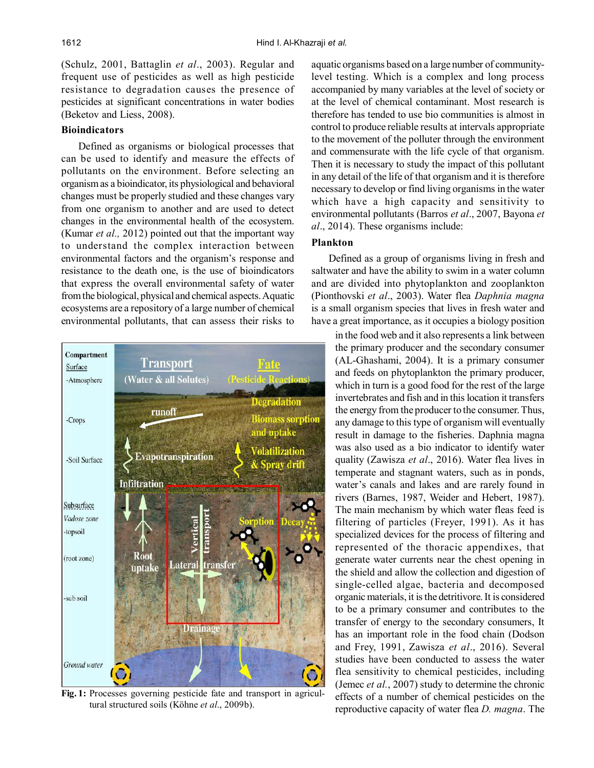(Schulz, 2001, Battaglin *et al*., 2003). Regular and frequent use of pesticides as well as high pesticide resistance to degradation causes the presence of pesticides at significant concentrations in water bodies (Beketov and Liess, 2008).

# **Bioindicators**

Defined as organisms or biological processes that can be used to identify and measure the effects of pollutants on the environment. Before selecting an organism as a bioindicator, its physiological and behavioral changes must be properly studied and these changes vary from one organism to another and are used to detect changes in the environmental health of the ecosystem. (Kumar *et al.,* 2012) pointed out that the important way to understand the complex interaction between environmental factors and the organism's response and resistance to the death one, is the use of bioindicators that express the overall environmental safety of water from the biological, physical and chemical aspects. Aquatic ecosystems are a repository of a large number of chemical environmental pollutants, that can assess their risks to



**Fig. 1:** Processes governing pesticide fate and transport in agricultural structured soils (Köhne *et al*., 2009b).

aquatic organisms based on a large number of communitylevel testing. Which is a complex and long process accompanied by many variables at the level of society or at the level of chemical contaminant. Most research is therefore has tended to use bio communities is almost in control to produce reliable results at intervals appropriate to the movement of the polluter through the environment and commensurate with the life cycle of that organism. Then it is necessary to study the impact of this pollutant in any detail of the life of that organism and it is therefore necessary to develop or find living organisms in the water which have a high capacity and sensitivity to environmental pollutants (Barros *et al*., 2007, Bayona *et al*., 2014). These organisms include:

# **Plankton**

Defined as a group of organisms living in fresh and saltwater and have the ability to swim in a water column and are divided into phytoplankton and zooplankton (Pionthovski *et al*., 2003). Water flea *Daphnia magna* is a small organism species that lives in fresh water and have a great importance, as it occupies a biology position

in the food web and it also represents a link between the primary producer and the secondary consumer (AL-Ghashami, 2004). It is a primary consumer and feeds on phytoplankton the primary producer, which in turn is a good food for the rest of the large invertebrates and fish and in this location it transfers the energy from the producer to the consumer. Thus, any damage to this type of organism will eventually result in damage to the fisheries. Daphnia magna was also used as a bio indicator to identify water quality (Zawisza *et al*., 2016). Water flea lives in temperate and stagnant waters, such as in ponds, water's canals and lakes and are rarely found in rivers (Barnes, 1987, Weider and Hebert, 1987). The main mechanism by which water fleas feed is filtering of particles (Freyer, 1991). As it has specialized devices for the process of filtering and represented of the thoracic appendixes, that generate water currents near the chest opening in the shield and allow the collection and digestion of single-celled algae, bacteria and decomposed organic materials, it is the detritivore. It is considered to be a primary consumer and contributes to the transfer of energy to the secondary consumers, It has an important role in the food chain (Dodson and Frey, 1991, Zawisza *et al*., 2016). Several studies have been conducted to assess the water flea sensitivity to chemical pesticides, including (Jemec *et al.*, 2007) study to determine the chronic effects of a number of chemical pesticides on the reproductive capacity of water flea *D. magna*. The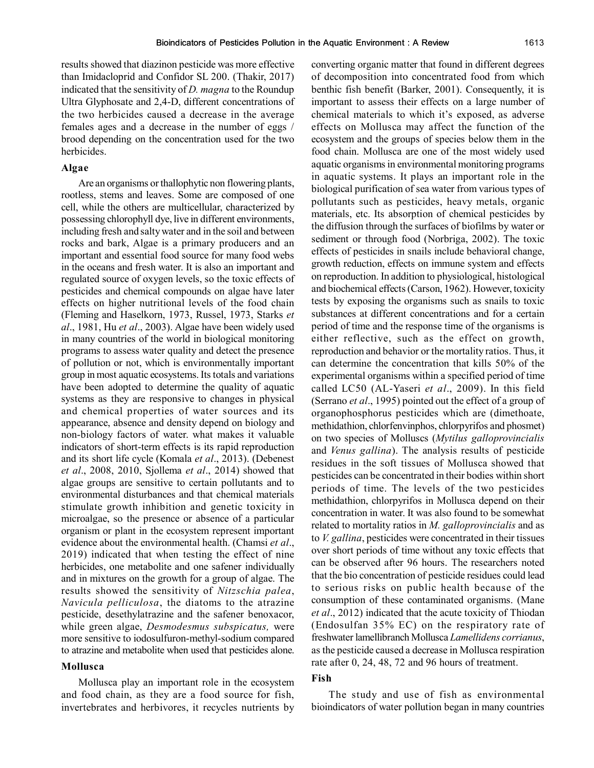results showed that diazinon pesticide was more effective than Imidacloprid and Confidor SL 200. (Thakir, 2017) indicated that the sensitivity of *D. magna* to the Roundup Ultra Glyphosate and 2,4-D, different concentrations of the two herbicides caused a decrease in the average females ages and a decrease in the number of eggs / brood depending on the concentration used for the two herbicides.

## **Algae**

Are an organisms or thallophytic non flowering plants, rootless, stems and leaves. Some are composed of one cell, while the others are multicellular, characterized by possessing chlorophyll dye, live in different environments, including fresh and salty water and in the soil and between rocks and bark, Algae is a primary producers and an important and essential food source for many food webs in the oceans and fresh water. It is also an important and regulated source of oxygen levels, so the toxic effects of pesticides and chemical compounds on algae have later effects on higher nutritional levels of the food chain (Fleming and Haselkorn, 1973, Russel, 1973, Starks *et al*., 1981, Hu *et al*., 2003). Algae have been widely used in many countries of the world in biological monitoring programs to assess water quality and detect the presence of pollution or not, which is environmentally important group in most aquatic ecosystems. Its totals and variations have been adopted to determine the quality of aquatic systems as they are responsive to changes in physical and chemical properties of water sources and its appearance, absence and density depend on biology and non-biology factors of water. what makes it valuable indicators of short-term effects is its rapid reproduction and its short life cycle (Komala *et al*., 2013). (Debenest *et al*., 2008, 2010, Sjollema *et al*., 2014) showed that algae groups are sensitive to certain pollutants and to environmental disturbances and that chemical materials stimulate growth inhibition and genetic toxicity in microalgae, so the presence or absence of a particular organism or plant in the ecosystem represent important evidence about the environmental health. (Chamsi *et al*., 2019) indicated that when testing the effect of nine herbicides, one metabolite and one safener individually and in mixtures on the growth for a group of algae. The results showed the sensitivity of *Nitzschia palea*, *Navicula pelliculosa*, the diatoms to the atrazine pesticide, desethylatrazine and the safener benoxacor, while green algae, *Desmodesmus subspicatus,* were more sensitive to iodosulfuron-methyl-sodium compared to atrazine and metabolite when used that pesticides alone.

## **Mollusca**

Mollusca play an important role in the ecosystem and food chain, as they are a food source for fish, invertebrates and herbivores, it recycles nutrients by converting organic matter that found in different degrees of decomposition into concentrated food from which benthic fish benefit (Barker, 2001). Consequently, it is important to assess their effects on a large number of chemical materials to which it's exposed, as adverse effects on Mollusca may affect the function of the ecosystem and the groups of species below them in the food chain. Mollusca are one of the most widely used aquatic organisms in environmental monitoring programs in aquatic systems. It plays an important role in the biological purification of sea water from various types of pollutants such as pesticides, heavy metals, organic materials, etc. Its absorption of chemical pesticides by the diffusion through the surfaces of biofilms by water or sediment or through food (Norbriga, 2002). The toxic effects of pesticides in snails include behavioral change, growth reduction, effects on immune system and effects on reproduction. In addition to physiological, histological and biochemical effects (Carson, 1962). However, toxicity tests by exposing the organisms such as snails to toxic substances at different concentrations and for a certain period of time and the response time of the organisms is either reflective, such as the effect on growth, reproduction and behavior or the mortality ratios. Thus, it can determine the concentration that kills 50% of the experimental organisms within a specified period of time called LC50 (AL-Yaseri *et al*., 2009). In this field (Serrano *et al*., 1995) pointed out the effect of a group of organophosphorus pesticides which are (dimethoate, methidathion, chlorfenvinphos, chlorpyrifos and phosmet) on two species of Molluscs (*Mytilus galloprovincialis* and *Venus gallina*). The analysis results of pesticide residues in the soft tissues of Mollusca showed that pesticides can be concentrated in their bodies within short periods of time. The levels of the two pesticides methidathion, chlorpyrifos in Mollusca depend on their concentration in water. It was also found to be somewhat related to mortality ratios in *M. galloprovincialis* and as to *V. gallina*, pesticides were concentrated in their tissues over short periods of time without any toxic effects that can be observed after 96 hours. The researchers noted that the bio concentration of pesticide residues could lead to serious risks on public health because of the consumption of these contaminated organisms. (Mane *et al*., 2012) indicated that the acute toxicity of Thiodan (Endosulfan 35% EC) on the respiratory rate of freshwater lamellibranch Mollusca *Lamellidens corrianus*, as the pesticide caused a decrease in Mollusca respiration rate after 0, 24, 48, 72 and 96 hours of treatment.

#### **Fish**

The study and use of fish as environmental bioindicators of water pollution began in many countries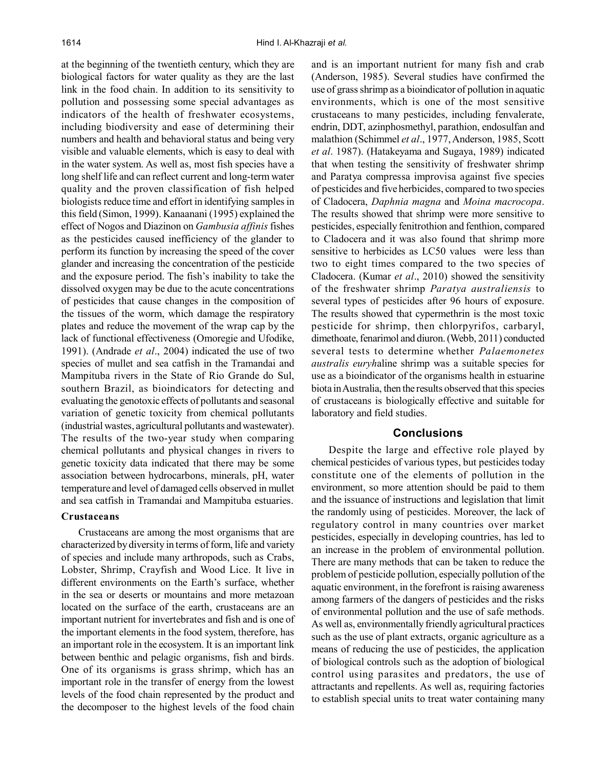at the beginning of the twentieth century, which they are biological factors for water quality as they are the last link in the food chain. In addition to its sensitivity to pollution and possessing some special advantages as indicators of the health of freshwater ecosystems, including biodiversity and ease of determining their numbers and health and behavioral status and being very visible and valuable elements, which is easy to deal with in the water system. As well as, most fish species have a long shelf life and can reflect current and long-term water quality and the proven classification of fish helped biologists reduce time and effort in identifying samples in this field (Simon, 1999). Kanaanani (1995) explained the effect of Nogos and Diazinon on *Gambusia affinis* fishes as the pesticides caused inefficiency of the glander to perform its function by increasing the speed of the cover glander and increasing the concentration of the pesticide and the exposure period. The fish's inability to take the dissolved oxygen may be due to the acute concentrations of pesticides that cause changes in the composition of the tissues of the worm, which damage the respiratory plates and reduce the movement of the wrap cap by the lack of functional effectiveness (Omoregie and Ufodike, 1991). (Andrade *et al*., 2004) indicated the use of two species of mullet and sea catfish in the Tramandai and Mampituba rivers in the State of Rio Grande do Sul, southern Brazil, as bioindicators for detecting and evaluating the genotoxic effects of pollutants and seasonal variation of genetic toxicity from chemical pollutants (industrial wastes, agricultural pollutants and wastewater). The results of the two-year study when comparing chemical pollutants and physical changes in rivers to genetic toxicity data indicated that there may be some association between hydrocarbons, minerals, pH, water temperature and level of damaged cells observed in mullet and sea catfish in Tramandai and Mampituba estuaries.

#### **Crustaceans**

Crustaceans are among the most organisms that are characterized by diversity in terms of form, life and variety of species and include many arthropods, such as Crabs, Lobster, Shrimp, Crayfish and Wood Lice. It live in different environments on the Earth's surface, whether in the sea or deserts or mountains and more metazoan located on the surface of the earth, crustaceans are an important nutrient for invertebrates and fish and is one of the important elements in the food system, therefore, has an important role in the ecosystem. It is an important link between benthic and pelagic organisms, fish and birds. One of its organisms is grass shrimp, which has an important role in the transfer of energy from the lowest levels of the food chain represented by the product and the decomposer to the highest levels of the food chain

and is an important nutrient for many fish and crab (Anderson, 1985). Several studies have confirmed the use of grass shrimp as a bioindicator of pollution in aquatic environments, which is one of the most sensitive crustaceans to many pesticides, including fenvalerate, endrin, DDT, azinphosmethyl, parathion, endosulfan and malathion (Schimmel *et al*., 1977, Anderson, 1985, Scott *et al*. 1987). (Hatakeyama and Sugaya, 1989) indicated that when testing the sensitivity of freshwater shrimp and Paratya compressa improvisa against five species of pesticides and five herbicides, compared to two species of Cladocera, *Daphnia magna* and *Moina macrocopa*. The results showed that shrimp were more sensitive to pesticides, especially fenitrothion and fenthion, compared to Cladocera and it was also found that shrimp more sensitive to herbicides as LC50 values were less than two to eight times compared to the two species of Cladocera. (Kumar *et al*., 2010) showed the sensitivity of the freshwater shrimp *Paratya australiensis* to several types of pesticides after 96 hours of exposure. The results showed that cypermethrin is the most toxic pesticide for shrimp, then chlorpyrifos, carbaryl, dimethoate, fenarimol and diuron. (Webb, 2011) conducted several tests to determine whether *Palaemonetes australis euryh*aline shrimp was a suitable species for use as a bioindicator of the organisms health in estuarine biota in Australia, then the results observed that this species of crustaceans is biologically effective and suitable for laboratory and field studies.

## **Conclusions**

Despite the large and effective role played by chemical pesticides of various types, but pesticides today constitute one of the elements of pollution in the environment, so more attention should be paid to them and the issuance of instructions and legislation that limit the randomly using of pesticides. Moreover, the lack of regulatory control in many countries over market pesticides, especially in developing countries, has led to an increase in the problem of environmental pollution. There are many methods that can be taken to reduce the problem of pesticide pollution, especially pollution of the aquatic environment, in the forefront is raising awareness among farmers of the dangers of pesticides and the risks of environmental pollution and the use of safe methods. As well as, environmentally friendly agricultural practices such as the use of plant extracts, organic agriculture as a means of reducing the use of pesticides, the application of biological controls such as the adoption of biological control using parasites and predators, the use of attractants and repellents. As well as, requiring factories to establish special units to treat water containing many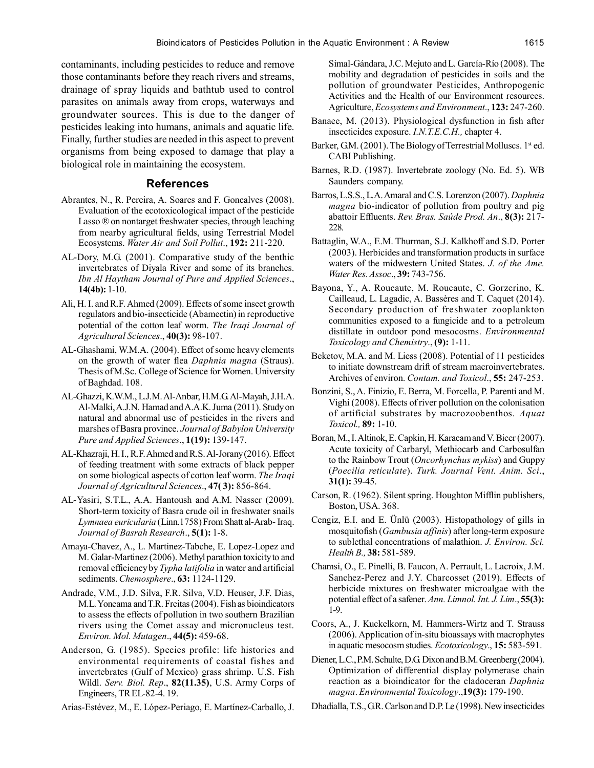contaminants, including pesticides to reduce and remove those contaminants before they reach rivers and streams, drainage of spray liquids and bathtub used to control parasites on animals away from crops, waterways and groundwater sources. This is due to the danger of pesticides leaking into humans, animals and aquatic life. Finally, further studies are needed in this aspect to prevent organisms from being exposed to damage that play a biological role in maintaining the ecosystem.

## **References**

- Abrantes, N., R. Pereira, A. Soares and F. Goncalves (2008). Evaluation of the ecotoxicological impact of the pesticide Lasso ® on nontarget freshwater species, through leaching from nearby agricultural fields, using Terrestrial Model Ecosystems. *Water Air and Soil Pollut*., **192:** 211-220.
- AL-Dory, M.G. (2001). Comparative study of the benthic invertebrates of Diyala River and some of its branches. *Ibn Al Haytham Journal of Pure and Applied Sciences*., **14(4b):** 1-10.
- Ali, H. I. and R.F. Ahmed (2009). Effects of some insect growth regulators and bio-insecticide (Abamectin) in reproductive potential of the cotton leaf worm. *The Iraqi Journal of Agricultural Sciences*., **40(3):** 98-107.
- AL-Ghashami, W.M.A. (2004). Effect of some heavy elements on the growth of water flea *Daphnia magna* (Straus). Thesis of M.Sc. College of Science for Women. University of Baghdad. 108.
- AL-Ghazzi, K.W.M., L.J.M. Al-Anbar, H.M.G. Al-Mayah, J.H.A. Al-Malki, A.J.N. Hamad and A.A.K. Juma (2011). Study on natural and abnormal use of pesticides in the rivers and marshes of Basra province. *Journal of Babylon University Pure and Applied Sciences*., **1(19):** 139-147.
- AL-Khazraji, H. I., R.F. Ahmed and R.S. Al-Jorany (2016). Effect of feeding treatment with some extracts of black pepper on some biological aspects of cotton leaf worm. *The Iraqi Journal of Agricultural Sciences*., **47( 3):** 856-864.
- AL-Yasiri, S.T.L., A.A. Hantoush and A.M. Nasser (2009). Short-term toxicity of Basra crude oil in freshwater snails *Lymnaea euricularia* (Linn.1758) From Shatt al-Arab- Iraq. *Journal of Basrah Research*., **5(1):** 1-8.
- Amaya-Chavez, A., L. Martinez-Tabche, E. Lopez-Lopez and M. Galar-Martinez (2006). Methyl parathion toxicity to and removal efficiency by *Typha latifolia* in water and artificial sediments. *Chemosphere*., **63:** 1124-1129.
- Andrade, V.M., J.D. Silva, F.R. Silva, V.D. Heuser, J.F. Dias, M.L. Yoneama and T.R. Freitas (2004). Fish as bioindicators to assess the effects of pollution in two southern Brazilian rivers using the Comet assay and micronucleus test. *Environ. Mol. Mutagen*., **44(5):** 459-68.
- Anderson, G. (1985). Species profile: life histories and environmental requirements of coastal fishes and invertebrates (Gulf of Mexico) grass shrimp. U.S. Fish Wildl. *Serv. Biol. Rep*., **82(11.35)**, U.S. Army Corps of Engineers, TR EL-82-4. 19.

Arias-Estévez, M., E. López-Periago, E. Martínez-Carballo, J.

Simal-Gándara, J.C. Mejuto and L. García-Río (2008). The mobility and degradation of pesticides in soils and the pollution of groundwater Pesticides, Anthropogenic Activities and the Health of our Environment resources. Agriculture, *Ecosystems and Environment*., **123:** 247-260.

- Banaee, M. (2013). Physiological dysfunction in fish after insecticides exposure. *I.N.T.E.C.H.,* chapter 4.
- Barker, G.M. (2001). The Biology of Terrestrial Molluscs.  $1<sup>st</sup>$  ed. CABI Publishing.
- Barnes, R.D. (1987). Invertebrate zoology (No. Ed. 5). WB Saunders company.
- Barros, L.S.S., L.A. Amaral and C.S. Lorenzon (2007). *Daphnia magna* bio-indicator of pollution from poultry and pig abattoir Effluents. *Rev. Bras. Saúde Prod. An*., **8(3):** 217- 228.
- Battaglin, W.A., E.M. Thurman, S.J. Kalkhoff and S.D. Porter (2003). Herbicides and transformation products in surface waters of the midwestern United States. *J. of the Ame. Water Res. Assoc*., **39:** 743-756.
- Bayona, Y., A. Roucaute, M. Roucaute, C. Gorzerino, K. Cailleaud, L. Lagadic, A. Bassères and T. Caquet (2014). Secondary production of freshwater zooplankton communities exposed to a fungicide and to a petroleum distillate in outdoor pond mesocosms. *Environmental Toxicology and Chemistry*., **(9):** 1-11.
- Beketov, M.A. and M. Liess (2008). Potential of 11 pesticides to initiate downstream drift of stream macroinvertebrates. Archives of environ. *Contam. and Toxicol*., **55:** 247-253.
- Bonzini, S., A. Finizio, E. Berra, M. Forcella, P. Parenti and M. Vighi (2008). Effects of river pollution on the colonisation of artificial substrates by macrozoobenthos. *Aquat Toxicol.,* **89:** 1-10.
- Boran, M., I. Altinok, E. Capkin, H. Karacam and V. Bicer (2007). Acute toxicity of Carbaryl, Methiocarb and Carbosulfan to the Rainbow Trout (*Oncorhynchus mykiss*) and Guppy (*Poecilia reticulate*). *Turk. Journal Vent. Anim. Sci*., **31(1):** 39-45.
- Carson, R. (1962). Silent spring. Houghton Mifflin publishers, Boston, USA. 368.
- Cengiz, E.I. and E. Ünlü (2003). Histopathology of gills in mosquitofish (*Gambusia affinis*) after long-term exposure to sublethal concentrations of malathion. *J. Environ. Sci. Health B.,* **38:** 581-589.
- Chamsi, O., E. Pinelli, B. Faucon, A. Perrault, L. Lacroix, J.M. Sanchez-Perez and J.Y. Charcosset (2019). Effects of herbicide mixtures on freshwater microalgae with the potential effect of a safener. *Ann. Limnol. Int. J. Lim*., **55(3):** 1-9.
- Coors, A., J. Kuckelkorn, M. Hammers-Wirtz and T. Strauss (2006). Application of in-situ bioassays with macrophytes in aquatic mesocosm studies. *Ecotoxicology*., **15:** 583-591.
- Diener, L.C., P.M. Schulte, D.G. Dixon and B.M. Greenberg (2004). Optimization of differential display polymerase chain reaction as a bioindicator for the cladoceran *Daphnia magna*. *Environmental Toxicology*.,**19(3):** 179-190.
- Dhadialla, T.S., G.R. Carlson and D.P. Le (1998). New insecticides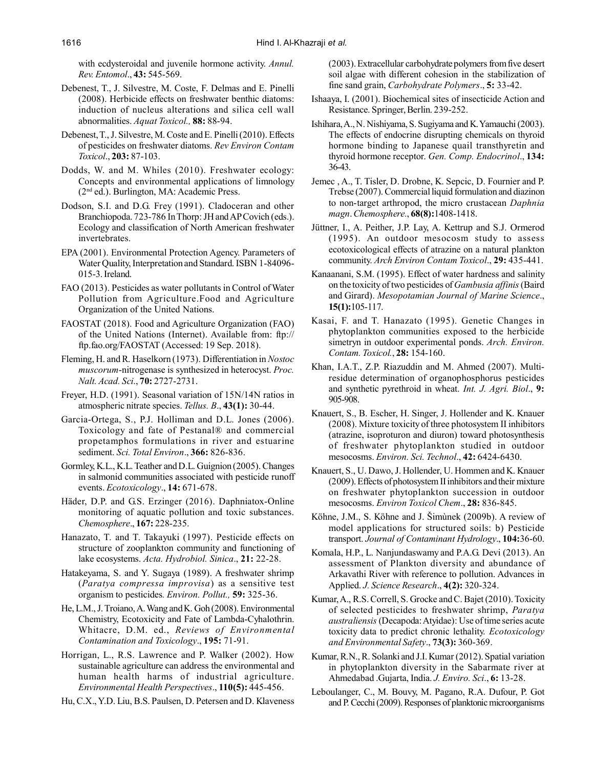with ecdysteroidal and juvenile hormone activity. *Annul. Rev. Entomol*., **43:** 545-569.

- Debenest, T., J. Silvestre, M. Coste, F. Delmas and E. Pinelli (2008). Herbicide effects on freshwater benthic diatoms: induction of nucleus alterations and silica cell wall abnormalities. *Aquat Toxicol.,* **88:** 88-94.
- Debenest, T., J. Silvestre, M. Coste and E. Pinelli (2010). Effects of pesticides on freshwater diatoms. *Rev Environ Contam Toxicol*., **203:** 87-103.
- Dodds, W. and M. Whiles (2010). Freshwater ecology: Concepts and environmental applications of limnology (2nd ed.). Burlington, MA: Academic Press.
- Dodson, S.I. and D.G. Frey (1991). Cladoceran and other Branchiopoda. 723-786 In Thorp: JH and AP Covich (eds.). Ecology and classification of North American freshwater invertebrates.
- EPA (2001). Environmental Protection Agency. Parameters of Water Quality, Interpretation and Standard. ISBN 1-84096- 015-3. Ireland.
- FAO (2013). Pesticides as water pollutants in Control of Water Pollution from Agriculture.Food and Agriculture Organization of the United Nations.
- FAOSTAT (2018). Food and Agriculture Organization (FAO) of the United Nations (Internet). Available from: ftp:// ftp.fao.org/FAOSTAT (Accessed: 19 Sep. 2018).
- Fleming, H. and R. Haselkorn (1973). Differentiation in *Nostoc muscorum*-nitrogenase is synthesized in heterocyst. *Proc. Nalt. Acad. Sci*., **70:** 2727-2731.
- Freyer, H.D. (1991). Seasonal variation of 15N/14N ratios in atmospheric nitrate species. *Tellus. B*., **43(1):** 30-44.
- Garcia-Ortega, S., P.J. Holliman and D.L. Jones (2006). Toxicology and fate of Pestanal® and commercial propetamphos formulations in river and estuarine sediment. *Sci. Total Environ*., **366:** 826-836.
- Gormley, K.L., K.L. Teather and D.L. Guignion (2005). Changes in salmonid communities associated with pesticide runoff events. *Ecotoxicology*., **14:** 671-678.
- Häder, D.P. and G.S. Erzinger (2016). Daphniatox-Online monitoring of aquatic pollution and toxic substances. *Chemosphere*., **167:** 228-235.
- Hanazato, T. and T. Takayuki (1997). Pesticide effects on structure of zooplankton community and functioning of lake ecosystems. *Acta. Hydrobiol. Sinica*., **21:** 22-28.
- Hatakeyama, S. and Y. Sugaya (1989). A freshwater shrimp (*Paratya compressa improvisa*) as a sensitive test organism to pesticides*. Environ. Pollut.,* **59:** 325-36.
- He, L.M., J. Troiano, A. Wang and K. Goh (2008). Environmental Chemistry, Ecotoxicity and Fate of Lambda-Cyhalothrin. Whitacre, D.M. ed., *Reviews of Environmental Contamination and Toxicology*., **195:** 71-91.
- Horrigan, L., R.S. Lawrence and P. Walker (2002). How sustainable agriculture can address the environmental and human health harms of industrial agriculture. *Environmental Health Perspectives*., **110(5):** 445-456.
- Hu, C.X., Y.D. Liu, B.S. Paulsen, D. Petersen and D. Klaveness

(2003). Extracellular carbohydrate polymers from five desert soil algae with different cohesion in the stabilization of fine sand grain, *Carbohydrate Polymers*., **5:** 33-42.

- Ishaaya, I. (2001). Biochemical sites of insecticide Action and Resistance. Springer, Berlin. 239-252.
- Ishihara, A., N. Nishiyama, S. Sugiyama and K. Yamauchi (2003). The effects of endocrine disrupting chemicals on thyroid hormone binding to Japanese quail transthyretin and thyroid hormone receptor. *Gen. Comp. Endocrinol*., **134:** 36-43.
- Jemec , A., T. Tisler, D. Drobne, K. Sepcic, D. Fournier and P. Trebse (2007). Commercial liquid formulation and diazinon to non-target arthropod, the micro crustacean *Daphnia magn*. *Chemosphere.*, **68(8):**1408-1418.
- Jüttner, I., A. Peither, J.P. Lay, A. Kettrup and S.J. Ormerod (1995). An outdoor mesocosm study to assess ecotoxicological effects of atrazine on a natural plankton community. *Arch Environ Contam Toxicol*., **29:** 435-441.
- Kanaanani, S.M. (1995). Effect of water hardness and salinity on the toxicity of two pesticides of *Gambusia affinis* (Baird and Girard). *Mesopotamian Journal of Marine Science*., **15(1):**105-117.
- Kasai, F. and T. Hanazato (1995). Genetic Changes in phytoplankton communities exposed to the herbicide simetryn in outdoor experimental ponds. *Arch. Environ. Contam. Toxicol.*, **28:** 154-160.
- Khan, I.A.T., Z.P. Riazuddin and M. Ahmed (2007). Multiresidue determination of organophosphorus pesticides and synthetic pyrethroid in wheat. *Int. J. Agri. Biol*., **9:** 905-908.
- Knauert, S., B. Escher, H. Singer, J. Hollender and K. Knauer (2008). Mixture toxicity of three photosystem II inhibitors (atrazine, isoproturon and diuron) toward photosynthesis of freshwater phytoplankton studied in outdoor mesocosms. *Environ. Sci. Technol*., **42:** 6424-6430.
- Knauert, S., U. Dawo, J. Hollender, U. Hommen and K. Knauer (2009). Effects of photosystem II inhibitors and their mixture on freshwater phytoplankton succession in outdoor mesocosms. *Environ Toxicol Chem*., **28:** 836-845.
- Köhne, J.M., S. Köhne and J. Šimùnek (2009b). A review of model applications for structured soils: b) Pesticide transport. *Journal of Contaminant Hydrology*., **104:**36-60.
- Komala, H.P., L. Nanjundaswamy and P.A.G. Devi (2013). An assessment of Plankton diversity and abundance of Arkavathi River with reference to pollution. Advances in Applied. *J. Science Research*., **4(2):** 320-324.
- Kumar, A., R.S. Correll, S. Grocke and C. Bajet (2010). Toxicity of selected pesticides to freshwater shrimp, *Paratya australiensis* (Decapoda: Atyidae): Use of time series acute toxicity data to predict chronic lethality. *Ecotoxicology and Environmental Safety*., **73(3):** 360-369.
- Kumar, R.N., R. Solanki and J.I. Kumar (2012). Spatial variation in phytoplankton diversity in the Sabarmate river at Ahmedabad .Gujarta, India. *J. Enviro. Sci*., **6:** 13-28.
- Leboulanger, C., M. Bouvy, M. Pagano, R.A. Dufour, P. Got and P. Cecchi (2009). Responses of planktonic microorganisms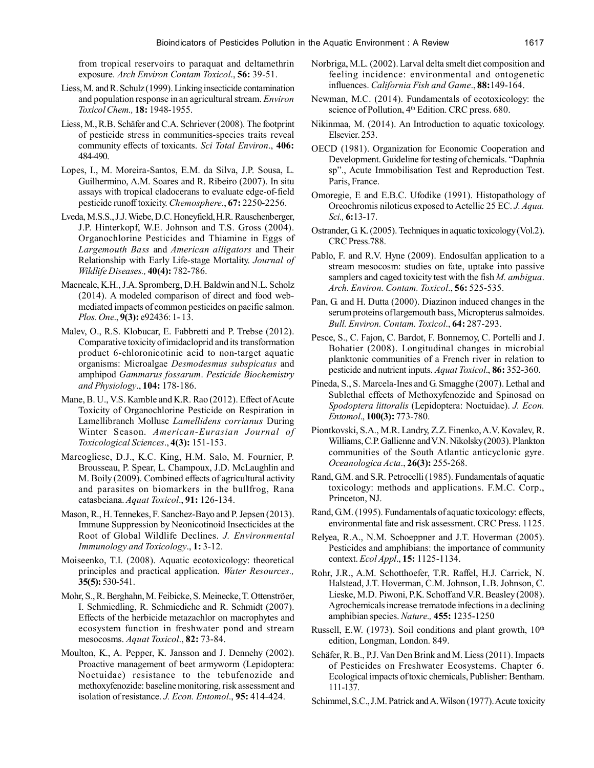from tropical reservoirs to paraquat and deltamethrin exposure. *Arch Environ Contam Toxicol*., **56:** 39-51.

- Liess, M. and R. Schulz (1999). Linking insecticide contamination and population response in an agricultural stream. *Environ Toxicol Chem.,* **18:** 1948-1955.
- Liess, M., R.B. Schäfer and C.A. Schriever (2008). The footprint of pesticide stress in communities-species traits reveal community effects of toxicants. *Sci Total Environ*., **406:** 484-490.
- Lopes, I., M. Moreira-Santos, E.M. da Silva, J.P. Sousa, L. Guilhermino, A.M. Soares and R. Ribeiro (2007). In situ assays with tropical cladocerans to evaluate edge-of-field pesticide runoff toxicity. *Chemosphere*., **67:** 2250-2256.
- Lveda, M.S.S., J.J. Wiebe, D.C. Honeyfield, H.R. Rauschenberger, J.P. Hinterkopf, W.E. Johnson and T.S. Gross (2004). Organochlorine Pesticides and Thiamine in Eggs of *Largemouth Bass* and *American alligators* and Their Relationship with Early Life-stage Mortality. *Journal of Wildlife Diseases.,* **40(4):** 782-786.
- Macneale, K.H., J.A. Spromberg, D.H. Baldwin and N.L. Scholz (2014). A modeled comparison of direct and food webmediated impacts of common pesticides on pacific salmon. *Plos. One*., **9(3):** e92436: 1- 13.
- Malev, O., R.S. Klobucar, E. Fabbretti and P. Trebse (2012). Comparative toxicity of imidacloprid and its transformation product 6-chloronicotinic acid to non-target aquatic organisms: Microalgae *Desmodesmus subspicatus* and amphipod *Gammarus fossarum*. *Pesticide Biochemistry and Physiology*., **104:** 178-186.
- Mane, B. U., V.S. Kamble and K.R. Rao (2012). Effect of Acute Toxicity of Organochlorine Pesticide on Respiration in Lamellibranch Mollusc *Lamellidens corrianus* During Winter Season. *American-Eurasian Journal of Toxicological Sciences*., **4(3):** 151-153.
- Marcogliese, D.J., K.C. King, H.M. Salo, M. Fournier, P. Brousseau, P. Spear, L. Champoux, J.D. McLaughlin and M. Boily (2009). Combined effects of agricultural activity and parasites on biomarkers in the bullfrog, Rana catasbeiana. *Aquat Toxicol*., **91:** 126-134.
- Mason, R., H. Tennekes, F. Sanchez-Bayo and P. Jepsen (2013). Immune Suppression by Neonicotinoid Insecticides at the Root of Global Wildlife Declines. *J. Environmental Immunology and Toxicology*., **1:** 3-12.
- Moiseenko, T.I. (2008). Aquatic ecotoxicology: theoretical principles and practical application. *Water Resources.,* **35(5):** 530-541.
- Mohr, S., R. Berghahn, M. Feibicke, S. Meinecke, T. Ottenströer, I. Schmiedling, R. Schmiediche and R. Schmidt (2007). Effects of the herbicide metazachlor on macrophytes and ecosystem function in freshwater pond and stream mesocosms. *Aquat Toxicol*., **82:** 73-84.
- Moulton, K., A. Pepper, K. Jansson and J. Dennehy (2002). Proactive management of beet armyworm (Lepidoptera: Noctuidae) resistance to the tebufenozide and methoxyfenozide: baseline monitoring, risk assessment and isolation of resistance. *J. Econ. Entomol*., **95:** 414-424.
- Norbriga, M.L. (2002). Larval delta smelt diet composition and feeling incidence: environmental and ontogenetic influences. *California Fish and Game*., **88:**149-164.
- Newman, M.C. (2014). Fundamentals of ecotoxicology: the science of Pollution, 4<sup>th</sup> Edition. CRC press. 680.
- Nikinmaa, M. (2014). An Introduction to aquatic toxicology. Elsevier. 253.
- OECD (1981). Organization for Economic Cooperation and Development. Guideline for testing of chemicals. "Daphnia sp"., Acute Immobilisation Test and Reproduction Test. Paris, France.
- Omoregie, E and E.B.C. Ufodike (1991). Histopathology of Oreochromis niloticus exposed to Actellic 25 EC. *J. Aqua. Sci.,* **6:**13-17.
- Ostrander, G. K. (2005). Techniques in aquatic toxicology (Vol.2). CRC Press.788.
- Pablo, F. and R.V. Hyne (2009). Endosulfan application to a stream mesocosm: studies on fate, uptake into passive samplers and caged toxicity test with the fish *M. ambigua*. *Arch. Environ. Contam. Toxicol*., **56:** 525-535.
- Pan, G. and H. Dutta (2000). Diazinon induced changes in the serum proteins of largemouth bass, Micropterus salmoides. *Bull. Environ. Contam. Toxicol*., **64:** 287-293.
- Pesce, S., C. Fajon, C. Bardot, F. Bonnemoy, C. Portelli and J. Bohatier (2008). Longitudinal changes in microbial planktonic communities of a French river in relation to pesticide and nutrient inputs. *Aquat Toxicol*., **86:** 352-360.
- Pineda, S., S. Marcela-Ines and G. Smagghe (2007). Lethal and Sublethal effects of Methoxyfenozide and Spinosad on *Spodoptera littoralis* (Lepidoptera: Noctuidae). *J. Econ. Entomol*., **100(3):** 773-780.
- Piontkovski, S.A., M.R. Landry, Z.Z. Finenko, A.V. Kovalev, R. Williams, C.P. Gallienne and V.N. Nikolsky (2003). Plankton communities of the South Atlantic anticyclonic gyre. *Oceanologica Acta*., **26(3):** 255-268.
- Rand, G.M. and S.R. Petrocelli (1985). Fundamentals of aquatic toxicology: methods and applications. F.M.C. Corp., Princeton, NJ.
- Rand, G.M. (1995). Fundamentals of aquatic toxicology: effects, environmental fate and risk assessment. CRC Press. 1125.
- Relyea, R.A., N.M. Schoeppner and J.T. Hoverman (2005). Pesticides and amphibians: the importance of community context. *Ecol Appl*., **15:** 1125-1134.
- Rohr, J.R., A.M. Schotthoefer, T.R. Raffel, H.J. Carrick, N. Halstead, J.T. Hoverman, C.M. Johnson, L.B. Johnson, C. Lieske, M.D. Piwoni, P.K. Schoff and V.R. Beasley (2008). Agrochemicals increase trematode infections in a declining amphibian species. *Nature.,* **455:** 1235-1250
- Russell, E.W. (1973). Soil conditions and plant growth,  $10<sup>th</sup>$ edition, Longman, London. 849.
- Schäfer, R. B., P.J. Van Den Brink and M. Liess (2011). Impacts of Pesticides on Freshwater Ecosystems. Chapter 6. Ecological impacts of toxic chemicals, Publisher: Bentham. 111-137.
- Schimmel, S.C., J.M. Patrick and A. Wilson (1977). Acute toxicity